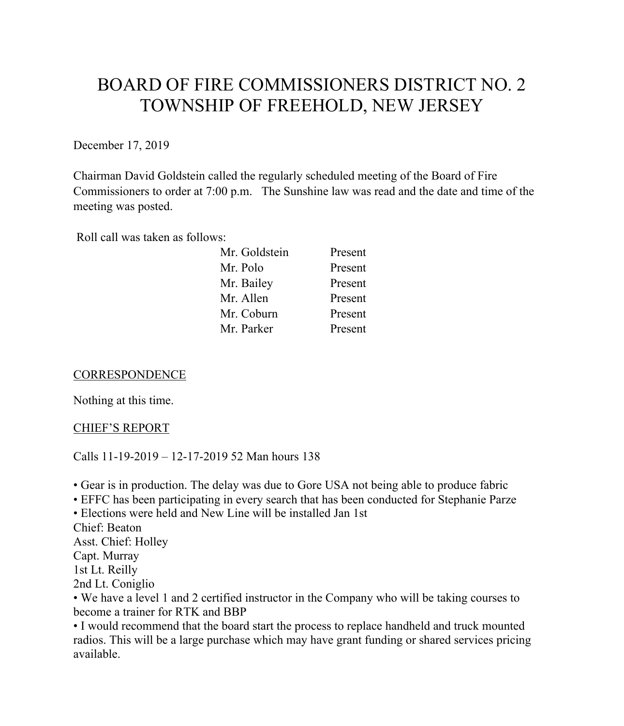# BOARD OF FIRE COMMISSIONERS DISTRICT NO. 2 TOWNSHIP OF FREEHOLD, NEW JERSEY

December 17, 2019

Chairman David Goldstein called the regularly scheduled meeting of the Board of Fire Commissioners to order at 7:00 p.m. The Sunshine law was read and the date and time of the meeting was posted.

Roll call was taken as follows:

| Mr. Goldstein | Present |
|---------------|---------|
| Mr. Polo      | Present |
| Mr. Bailey    | Present |
| Mr. Allen     | Present |
| Mr. Coburn    | Present |
| Mr. Parker    | Present |

#### **CORRESPONDENCE**

Nothing at this time.

#### CHIEF'S REPORT

Calls 11-19-2019 – 12-17-2019 52 Man hours 138

• Gear is in production. The delay was due to Gore USA not being able to produce fabric

• EFFC has been participating in every search that has been conducted for Stephanie Parze

• Elections were held and New Line will be installed Jan 1st

Chief: Beaton

Asst. Chief: Holley

Capt. Murray

1st Lt. Reilly

2nd Lt. Coniglio

• We have a level 1 and 2 certified instructor in the Company who will be taking courses to become a trainer for RTK and BBP

• I would recommend that the board start the process to replace handheld and truck mounted radios. This will be a large purchase which may have grant funding or shared services pricing available.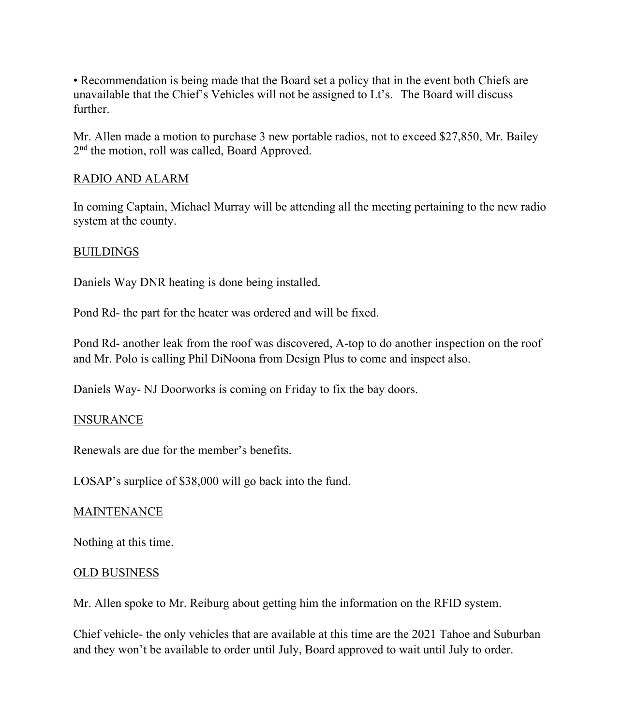• Recommendation is being made that the Board set a policy that in the event both Chiefs are unavailable that the Chief's Vehicles will not be assigned to Lt's. The Board will discuss further.

Mr. Allen made a motion to purchase 3 new portable radios, not to exceed \$27,850, Mr. Bailey 2<sup>nd</sup> the motion, roll was called, Board Approved.

## RADIO AND ALARM

In coming Captain, Michael Murray will be attending all the meeting pertaining to the new radio system at the county.

#### BUILDINGS

Daniels Way DNR heating is done being installed.

Pond Rd- the part for the heater was ordered and will be fixed.

Pond Rd- another leak from the roof was discovered, A-top to do another inspection on the roof and Mr. Polo is calling Phil DiNoona from Design Plus to come and inspect also.

Daniels Way- NJ Doorworks is coming on Friday to fix the bay doors.

#### **INSURANCE**

Renewals are due for the member's benefits.

LOSAP's surplice of \$38,000 will go back into the fund.

#### MAINTENANCE

Nothing at this time.

#### OLD BUSINESS

Mr. Allen spoke to Mr. Reiburg about getting him the information on the RFID system.

Chief vehicle- the only vehicles that are available at this time are the 2021 Tahoe and Suburban and they won't be available to order until July, Board approved to wait until July to order.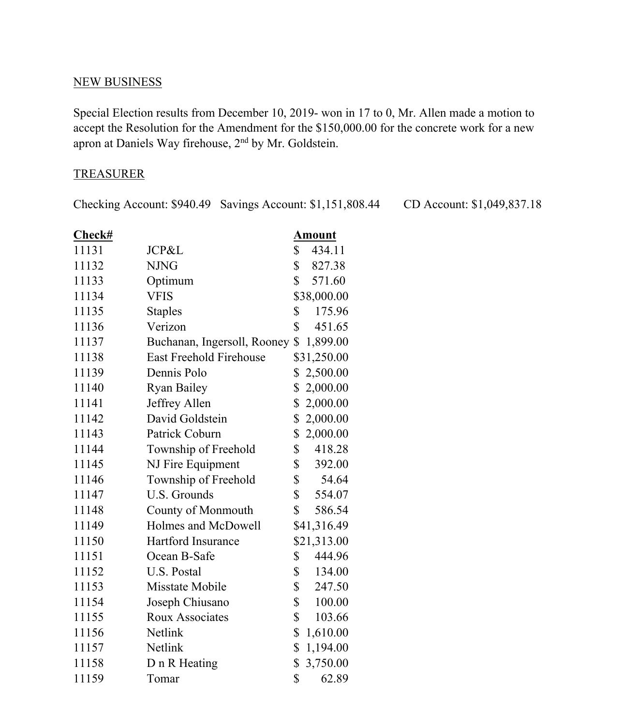## NEW BUSINESS

Special Election results from December 10, 2019- won in 17 to 0, Mr. Allen made a motion to accept the Resolution for the Amendment for the \$150,000.00 for the concrete work for a new apron at Daniels Way firehouse, 2nd by Mr. Goldstein.

## **TREASURER**

Checking Account: \$940.49 Savings Account: \$1,151,808.44 CD Account: \$1,049,837.18

| Check# |                                | <u>Amount</u>  |
|--------|--------------------------------|----------------|
| 11131  | JCP&L                          | \$<br>434.11   |
| 11132  | <b>NJNG</b>                    | \$<br>827.38   |
| 11133  | Optimum                        | \$<br>571.60   |
| 11134  | <b>VFIS</b>                    | \$38,000.00    |
| 11135  | <b>Staples</b>                 | \$<br>175.96   |
| 11136  | Verizon                        | \$<br>451.65   |
| 11137  | Buchanan, Ingersoll, Rooney    | \$<br>1,899.00 |
| 11138  | <b>East Freehold Firehouse</b> | \$31,250.00    |
| 11139  | Dennis Polo                    | \$2,500.00     |
| 11140  | <b>Ryan Bailey</b>             | 2,000.00<br>\$ |
| 11141  | Jeffrey Allen                  | 2,000.00<br>\$ |
| 11142  | David Goldstein                | \$<br>2,000.00 |
| 11143  | Patrick Coburn                 | 2,000.00<br>\$ |
| 11144  | Township of Freehold           | \$<br>418.28   |
| 11145  | NJ Fire Equipment              | \$<br>392.00   |
| 11146  | Township of Freehold           | \$<br>54.64    |
| 11147  | U.S. Grounds                   | \$<br>554.07   |
| 11148  | County of Monmouth             | \$<br>586.54   |
| 11149  | Holmes and McDowell            | \$41,316.49    |
| 11150  | Hartford Insurance             | \$21,313.00    |
| 11151  | Ocean B-Safe                   | \$<br>444.96   |
| 11152  | <b>U.S. Postal</b>             | \$<br>134.00   |
| 11153  | Misstate Mobile                | \$<br>247.50   |
| 11154  | Joseph Chiusano                | \$<br>100.00   |
| 11155  | <b>Roux Associates</b>         | \$<br>103.66   |
| 11156  | Netlink                        | \$<br>1,610.00 |
| 11157  | Netlink                        | \$<br>1,194.00 |
| 11158  | D n R Heating                  | \$<br>3,750.00 |
| 11159  | Tomar                          | \$<br>62.89    |